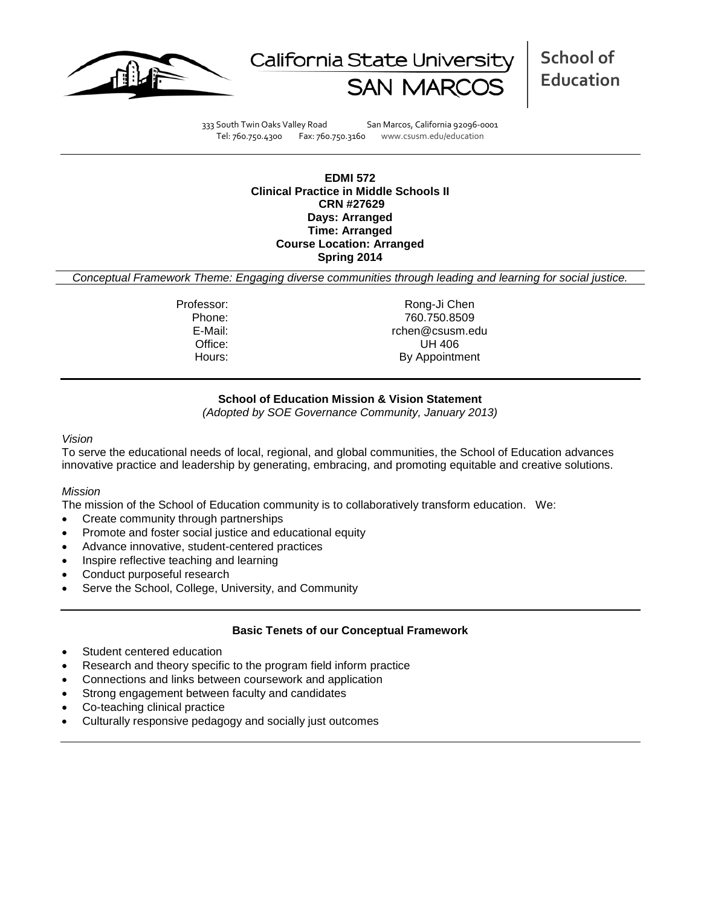



**School of Education**

333 South Twin Oaks Valley Road San Marcos, California 92096-0001 Tel: 760.750.4300 Fax: 760.750.3160 www.csusm.edu/education

**EDMI 572 Clinical Practice in Middle Schools II CRN #27629 Days: Arranged Time: Arranged Course Location: Arranged Spring 2014** 

*Conceptual Framework Theme: Engaging diverse communities through leading and learning for social justice.*

Professor: Rong-Ji Chen Phone: 760.750.8509<br>E-Mail: 760.750.8509<br>E-Mail: 760.750.8509 rchen@csusm.edu Office: UH 406 Hours: By Appointment

## **School of Education Mission & Vision Statement**

*(Adopted by SOE Governance Community, January 2013)*

#### *Vision*

To serve the educational needs of local, regional, and global communities, the School of Education advances innovative practice and leadership by generating, embracing, and promoting equitable and creative solutions.

## *Mission*

The mission of the School of Education community is to collaboratively transform education. We:

- Create community through partnerships
- Promote and foster social justice and educational equity
- Advance innovative, student-centered practices
- Inspire reflective teaching and learning
- Conduct purposeful research
- Serve the School, College, University, and Community

## **Basic Tenets of our Conceptual Framework**

- Student centered education
- Research and theory specific to the program field inform practice
- Connections and links between coursework and application
- Strong engagement between faculty and candidates
- Co-teaching clinical practice
- Culturally responsive pedagogy and socially just outcomes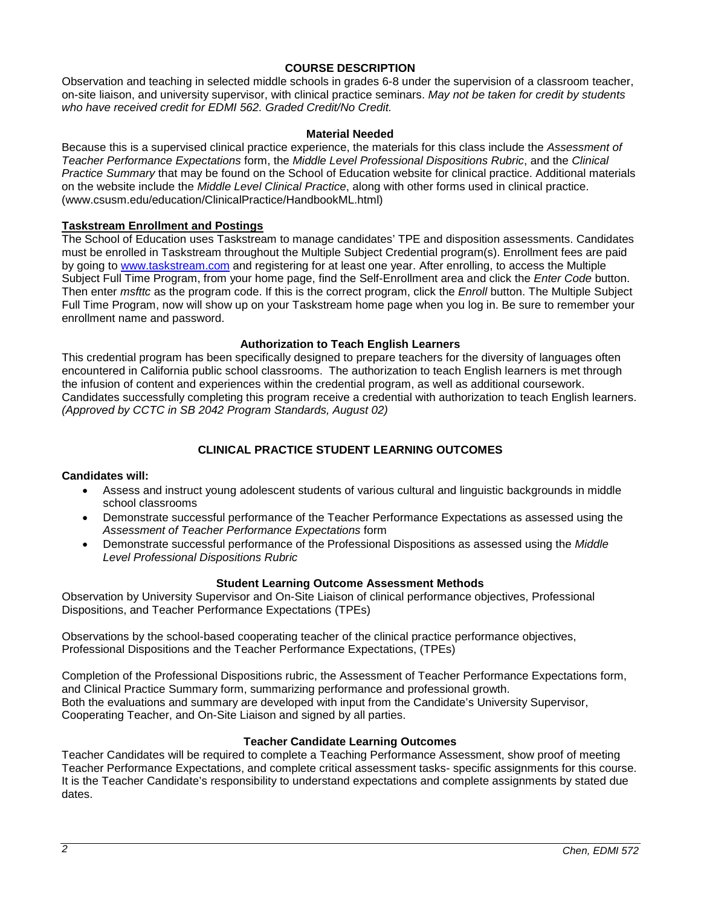## **COURSE DESCRIPTION**

Observation and teaching in selected middle schools in grades 6-8 under the supervision of a classroom teacher, on-site liaison, and university supervisor, with clinical practice seminars. *May not be taken for credit by students who have received credit for EDMI 562. Graded Credit/No Credit.*

### **Material Needed**

Because this is a supervised clinical practice experience, the materials for this class include the *Assessment of Teacher Performance Expectations* form, the *Middle Level Professional Dispositions Rubric*, and the *Clinical Practice Summary* that may be found on the School of Education website for clinical practice. Additional materials on the website include the *Middle Level Clinical Practice*, along with other forms used in clinical practice. (www.csusm.edu/education/ClinicalPractice/HandbookML.html)

### **Taskstream Enrollment and Postings**

The School of Education uses Taskstream to manage candidates' TPE and disposition assessments. Candidates must be enrolled in Taskstream throughout the Multiple Subject Credential program(s). Enrollment fees are paid by going to [www.taskstream.com](http://www.taskstrem.com/) and registering for at least one year. After enrolling, to access the Multiple Subject Full Time Program, from your home page, find the Self-Enrollment area and click the *Enter Code* button. Then enter *msfttc* as the program code. If this is the correct program, click the *Enroll* button. The Multiple Subject Full Time Program, now will show up on your Taskstream home page when you log in. Be sure to remember your enrollment name and password.

#### **Authorization to Teach English Learners**

This credential program has been specifically designed to prepare teachers for the diversity of languages often encountered in California public school classrooms. The authorization to teach English learners is met through the infusion of content and experiences within the credential program, as well as additional coursework. Candidates successfully completing this program receive a credential with authorization to teach English learners. *(Approved by CCTC in SB 2042 Program Standards, August 02)*

## **CLINICAL PRACTICE STUDENT LEARNING OUTCOMES**

#### **Candidates will:**

- Assess and instruct young adolescent students of various cultural and linguistic backgrounds in middle school classrooms
- Demonstrate successful performance of the Teacher Performance Expectations as assessed using the *Assessment of Teacher Performance Expectations* form
- Demonstrate successful performance of the Professional Dispositions as assessed using the *Middle Level Professional Dispositions Rubric*

#### **Student Learning Outcome Assessment Methods**

Observation by University Supervisor and On-Site Liaison of clinical performance objectives, Professional Dispositions, and Teacher Performance Expectations (TPEs)

Observations by the school-based cooperating teacher of the clinical practice performance objectives, Professional Dispositions and the Teacher Performance Expectations, (TPEs)

Completion of the Professional Dispositions rubric, the Assessment of Teacher Performance Expectations form, and Clinical Practice Summary form, summarizing performance and professional growth. Both the evaluations and summary are developed with input from the Candidate's University Supervisor, Cooperating Teacher, and On-Site Liaison and signed by all parties.

## **Teacher Candidate Learning Outcomes**

Teacher Candidates will be required to complete a Teaching Performance Assessment, show proof of meeting Teacher Performance Expectations, and complete critical assessment tasks- specific assignments for this course. It is the Teacher Candidate's responsibility to understand expectations and complete assignments by stated due dates.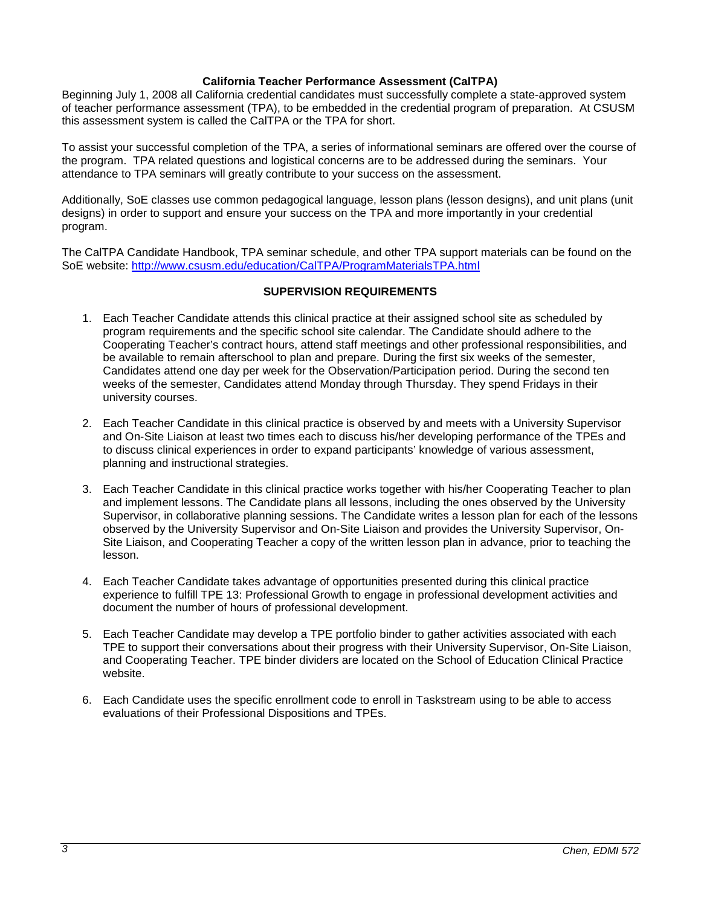## **California Teacher Performance Assessment (CalTPA)**

Beginning July 1, 2008 all California credential candidates must successfully complete a state-approved system of teacher performance assessment (TPA), to be embedded in the credential program of preparation. At CSUSM this assessment system is called the CalTPA or the TPA for short.

To assist your successful completion of the TPA, a series of informational seminars are offered over the course of the program. TPA related questions and logistical concerns are to be addressed during the seminars. Your attendance to TPA seminars will greatly contribute to your success on the assessment.

Additionally, SoE classes use common pedagogical language, lesson plans (lesson designs), and unit plans (unit designs) in order to support and ensure your success on the TPA and more importantly in your credential program.

The CalTPA Candidate Handbook, TPA seminar schedule, and other TPA support materials can be found on the SoE website:<http://www.csusm.edu/education/CalTPA/ProgramMaterialsTPA.html>

## **SUPERVISION REQUIREMENTS**

- 1. Each Teacher Candidate attends this clinical practice at their assigned school site as scheduled by program requirements and the specific school site calendar. The Candidate should adhere to the Cooperating Teacher's contract hours, attend staff meetings and other professional responsibilities, and be available to remain afterschool to plan and prepare. During the first six weeks of the semester, Candidates attend one day per week for the Observation/Participation period. During the second ten weeks of the semester, Candidates attend Monday through Thursday. They spend Fridays in their university courses.
- 2. Each Teacher Candidate in this clinical practice is observed by and meets with a University Supervisor and On-Site Liaison at least two times each to discuss his/her developing performance of the TPEs and to discuss clinical experiences in order to expand participants' knowledge of various assessment, planning and instructional strategies.
- 3. Each Teacher Candidate in this clinical practice works together with his/her Cooperating Teacher to plan and implement lessons. The Candidate plans all lessons, including the ones observed by the University Supervisor, in collaborative planning sessions. The Candidate writes a lesson plan for each of the lessons observed by the University Supervisor and On-Site Liaison and provides the University Supervisor, On-Site Liaison, and Cooperating Teacher a copy of the written lesson plan in advance, prior to teaching the lesson.
- 4. Each Teacher Candidate takes advantage of opportunities presented during this clinical practice experience to fulfill TPE 13: Professional Growth to engage in professional development activities and document the number of hours of professional development.
- 5. Each Teacher Candidate may develop a TPE portfolio binder to gather activities associated with each TPE to support their conversations about their progress with their University Supervisor, On-Site Liaison, and Cooperating Teacher. TPE binder dividers are located on the School of Education Clinical Practice website.
- 6. Each Candidate uses the specific enrollment code to enroll in Taskstream using to be able to access evaluations of their Professional Dispositions and TPEs.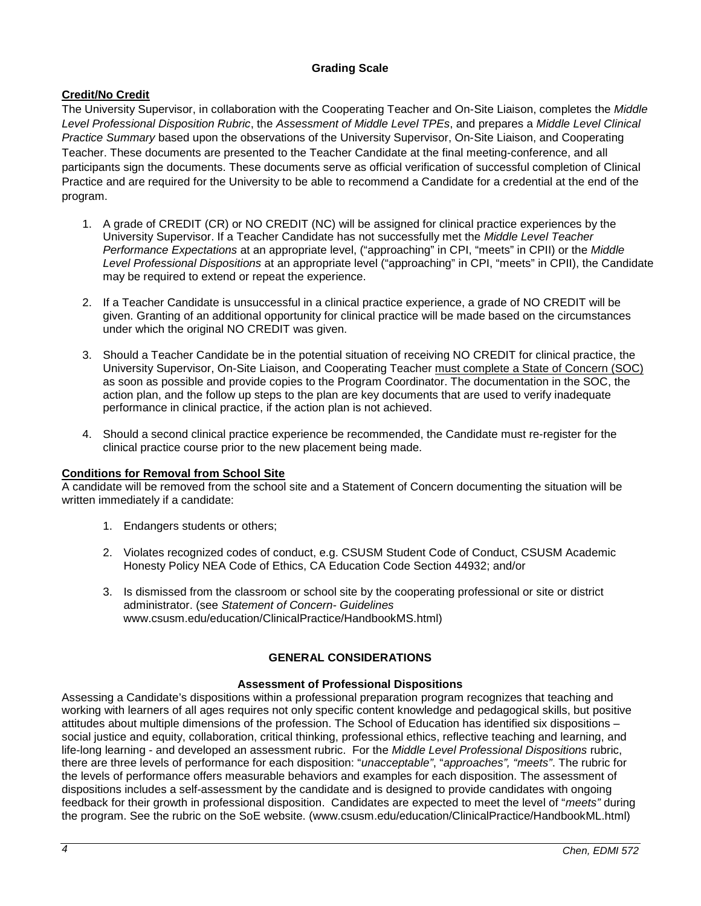## **Grading Scale**

# **Credit/No Credit**

The University Supervisor, in collaboration with the Cooperating Teacher and On-Site Liaison, completes the *Middle Level Professional Disposition Rubric*, the *Assessment of Middle Level TPEs*, and prepares a *Middle Level Clinical Practice Summary* based upon the observations of the University Supervisor, On-Site Liaison, and Cooperating Teacher. These documents are presented to the Teacher Candidate at the final meeting-conference, and all participants sign the documents. These documents serve as official verification of successful completion of Clinical Practice and are required for the University to be able to recommend a Candidate for a credential at the end of the program.

- 1. A grade of CREDIT (CR) or NO CREDIT (NC) will be assigned for clinical practice experiences by the University Supervisor. If a Teacher Candidate has not successfully met the *Middle Level Teacher Performance Expectations* at an appropriate level, ("approaching" in CPI, "meets" in CPII) or the *Middle Level Professional Dispositions* at an appropriate level ("approaching" in CPI, "meets" in CPII), the Candidate may be required to extend or repeat the experience.
- 2. If a Teacher Candidate is unsuccessful in a clinical practice experience, a grade of NO CREDIT will be given. Granting of an additional opportunity for clinical practice will be made based on the circumstances under which the original NO CREDIT was given.
- 3. Should a Teacher Candidate be in the potential situation of receiving NO CREDIT for clinical practice, the University Supervisor, On-Site Liaison, and Cooperating Teacher must complete a State of Concern (SOC) as soon as possible and provide copies to the Program Coordinator. The documentation in the SOC, the action plan, and the follow up steps to the plan are key documents that are used to verify inadequate performance in clinical practice, if the action plan is not achieved.
- 4. Should a second clinical practice experience be recommended, the Candidate must re-register for the clinical practice course prior to the new placement being made.

## **Conditions for Removal from School Site**

A candidate will be removed from the school site and a Statement of Concern documenting the situation will be written immediately if a candidate:

- 1. Endangers students or others;
- 2. Violates recognized codes of conduct, e.g. CSUSM Student Code of Conduct, CSUSM Academic Honesty Policy NEA Code of Ethics, CA Education Code Section 44932; and/or
- 3. Is dismissed from the classroom or school site by the cooperating professional or site or district administrator. (see *Statement of Concern- Guidelines* www.csusm.edu/education/ClinicalPractice/HandbookMS.html)

# **GENERAL CONSIDERATIONS**

## **Assessment of Professional Dispositions**

Assessing a Candidate's dispositions within a professional preparation program recognizes that teaching and working with learners of all ages requires not only specific content knowledge and pedagogical skills, but positive attitudes about multiple dimensions of the profession. The School of Education has identified six dispositions – social justice and equity, collaboration, critical thinking, professional ethics, reflective teaching and learning, and life-long learning - and developed an assessment rubric. For the *Middle Level Professional Dispositions* rubric, there are three levels of performance for each disposition: "*unacceptable"*, "*approaches", "meets"*. The rubric for the levels of performance offers measurable behaviors and examples for each disposition. The assessment of dispositions includes a self-assessment by the candidate and is designed to provide candidates with ongoing feedback for their growth in professional disposition. Candidates are expected to meet the level of "*meets"* during the program. See the rubric on the SoE website. (www.csusm.edu/education/ClinicalPractice/HandbookML.html)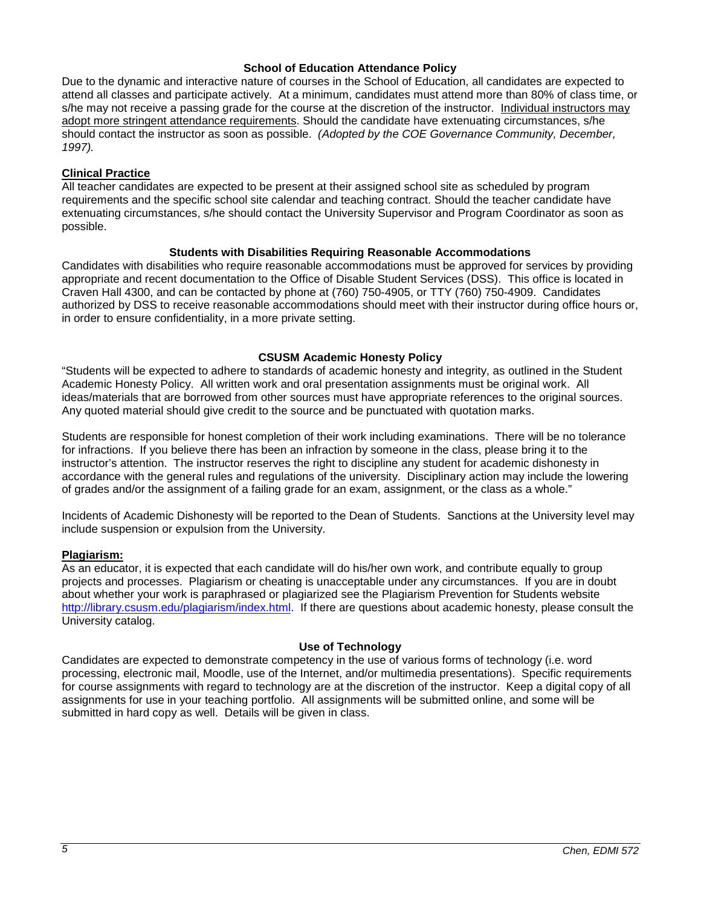### **School of Education Attendance Policy**

Due to the dynamic and interactive nature of courses in the School of Education, all candidates are expected to attend all classes and participate actively. At a minimum, candidates must attend more than 80% of class time, or s/he may not receive a passing grade for the course at the discretion of the instructor. Individual instructors may adopt more stringent attendance requirements. Should the candidate have extenuating circumstances, s/he should contact the instructor as soon as possible. *(Adopted by the COE Governance Community, December, 1997).*

## **Clinical Practice**

All teacher candidates are expected to be present at their assigned school site as scheduled by program requirements and the specific school site calendar and teaching contract. Should the teacher candidate have extenuating circumstances, s/he should contact the University Supervisor and Program Coordinator as soon as possible.

## **Students with Disabilities Requiring Reasonable Accommodations**

Candidates with disabilities who require reasonable accommodations must be approved for services by providing appropriate and recent documentation to the Office of Disable Student Services (DSS). This office is located in Craven Hall 4300, and can be contacted by phone at (760) 750-4905, or TTY (760) 750-4909. Candidates authorized by DSS to receive reasonable accommodations should meet with their instructor during office hours or, in order to ensure confidentiality, in a more private setting.

## **CSUSM Academic Honesty Policy**

"Students will be expected to adhere to standards of academic honesty and integrity, as outlined in the Student Academic Honesty Policy. All written work and oral presentation assignments must be original work. All ideas/materials that are borrowed from other sources must have appropriate references to the original sources. Any quoted material should give credit to the source and be punctuated with quotation marks.

Students are responsible for honest completion of their work including examinations. There will be no tolerance for infractions. If you believe there has been an infraction by someone in the class, please bring it to the instructor's attention. The instructor reserves the right to discipline any student for academic dishonesty in accordance with the general rules and regulations of the university. Disciplinary action may include the lowering of grades and/or the assignment of a failing grade for an exam, assignment, or the class as a whole."

Incidents of Academic Dishonesty will be reported to the Dean of Students. Sanctions at the University level may include suspension or expulsion from the University.

## **Plagiarism:**

As an educator, it is expected that each candidate will do his/her own work, and contribute equally to group projects and processes. Plagiarism or cheating is unacceptable under any circumstances. If you are in doubt about whether your work is paraphrased or plagiarized see the Plagiarism Prevention for Students website [http://library.csusm.edu/plagiarism/index.html.](http://library.csusm.edu/plagiarism/index.html) If there are questions about academic honesty, please consult the University catalog.

## **Use of Technology**

Candidates are expected to demonstrate competency in the use of various forms of technology (i.e. word processing, electronic mail, Moodle, use of the Internet, and/or multimedia presentations). Specific requirements for course assignments with regard to technology are at the discretion of the instructor. Keep a digital copy of all assignments for use in your teaching portfolio. All assignments will be submitted online, and some will be submitted in hard copy as well. Details will be given in class.